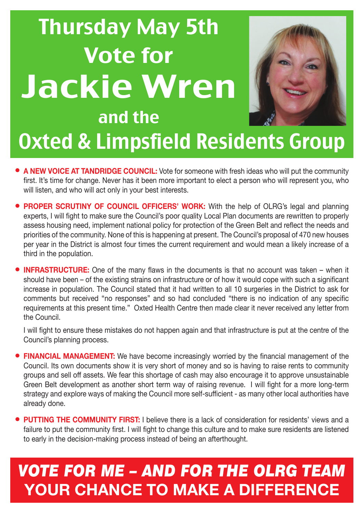# Thursday May 5th Vote for Jackie Wren and the



## Oxted & Limpsfield Residents Group

- **• A NEW VOICE AT TANDRIDGE COUNCIL:** Vote for someone with fresh ideas who will put the community first. It's time for change. Never has it been more important to elect a person who will represent you, who will listen, and who will act only in your best interests.
- **• PROPER SCRUTINY OF COUNCIL OFFICERS' WORK:** With the help of OLRG's legal and planning experts, I will fight to make sure the Council's poor quality Local Plan documents are rewritten to properly assess housing need, implement national policy for protection of the Green Belt and reflect the needs and priorities of the community. None of this is happening at present. The Council's proposal of 470 new houses per year in the District is almost four times the current requirement and would mean a likely increase of a third in the population.
- **INFRASTRUCTURE:** One of the many flaws in the documents is that no account was taken when it should have been – of the existing strains on infrastructure or of how it would cope with such a significant increase in population. The Council stated that it had written to all 10 surgeries in the District to ask for comments but received "no responses" and so had concluded "there is no indication of any specific requirements at this present time." Oxted Health Centre then made clear it never received any letter from the Council.

I will fight to ensure these mistakes do not happen again and that infrastructure is put at the centre of the Council's planning process.

- **• FINANCIAL MANAGEMENT:** We have become increasingly worried by the financial management of the Council. Its own documents show it is very short of money and so is having to raise rents to community groups and sell off assets. We fear this shortage of cash may also encourage it to approve unsustainable Green Belt development as another short term way of raising revenue. I will fight for a more long-term strategy and explore ways of making the Council more self-sufficient - as many other local authorities have already done.
- **• PUTTING THE COMMUNITY FIRST:** I believe there is a lack of consideration for residents' views and a failure to put the community first. I will fight to change this culture and to make sure residents are listened to early in the decision-making process instead of being an afterthought.

### *VOTE FOR ME – AND FOR THE OLRG TEAM* **Your chance to make a difference**